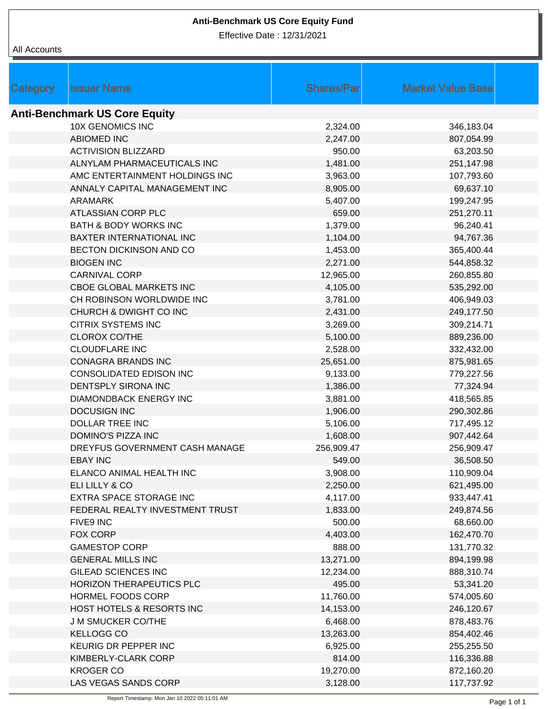## **Anti-Benchmark US Core Equity Fund**

Effective Date : 12/31/2021

## All Accounts

| <b>Category</b>                      | <b>Issuer Name</b>               | <b>Shares/Par</b> | <b>Market Value Base</b> |  |  |  |  |  |
|--------------------------------------|----------------------------------|-------------------|--------------------------|--|--|--|--|--|
| <b>Anti-Benchmark US Core Equity</b> |                                  |                   |                          |  |  |  |  |  |
|                                      | <b>10X GENOMICS INC</b>          | 2,324.00          | 346,183.04               |  |  |  |  |  |
|                                      | <b>ABIOMED INC</b>               | 2,247.00          | 807,054.99               |  |  |  |  |  |
|                                      | <b>ACTIVISION BLIZZARD</b>       | 950.00            | 63,203.50                |  |  |  |  |  |
|                                      | ALNYLAM PHARMACEUTICALS INC      | 1,481.00          | 251,147.98               |  |  |  |  |  |
|                                      | AMC ENTERTAINMENT HOLDINGS INC   | 3,963.00          | 107,793.60               |  |  |  |  |  |
|                                      | ANNALY CAPITAL MANAGEMENT INC    | 8,905.00          | 69,637.10                |  |  |  |  |  |
|                                      | <b>ARAMARK</b>                   | 5,407.00          | 199,247.95               |  |  |  |  |  |
|                                      | ATLASSIAN CORP PLC               | 659.00            | 251,270.11               |  |  |  |  |  |
|                                      | <b>BATH &amp; BODY WORKS INC</b> | 1,379.00          | 96,240.41                |  |  |  |  |  |
|                                      | BAXTER INTERNATIONAL INC         | 1,104.00          | 94,767.36                |  |  |  |  |  |
|                                      | BECTON DICKINSON AND CO          | 1,453.00          | 365,400.44               |  |  |  |  |  |
|                                      | <b>BIOGEN INC</b>                | 2,271.00          | 544,858.32               |  |  |  |  |  |
|                                      | <b>CARNIVAL CORP</b>             | 12,965.00         | 260,855.80               |  |  |  |  |  |
|                                      | CBOE GLOBAL MARKETS INC          | 4,105.00          | 535,292.00               |  |  |  |  |  |
|                                      | CH ROBINSON WORLDWIDE INC        | 3,781.00          | 406,949.03               |  |  |  |  |  |
|                                      | CHURCH & DWIGHT CO INC           | 2,431.00          | 249,177.50               |  |  |  |  |  |
|                                      | <b>CITRIX SYSTEMS INC</b>        | 3,269.00          | 309,214.71               |  |  |  |  |  |
|                                      | <b>CLOROX CO/THE</b>             | 5,100.00          | 889,236.00               |  |  |  |  |  |
|                                      | <b>CLOUDFLARE INC</b>            | 2,528.00          | 332,432.00               |  |  |  |  |  |
|                                      | <b>CONAGRA BRANDS INC</b>        | 25,651.00         | 875,981.65               |  |  |  |  |  |
|                                      | CONSOLIDATED EDISON INC          | 9,133.00          | 779,227.56               |  |  |  |  |  |
|                                      | DENTSPLY SIRONA INC              | 1,386.00          | 77,324.94                |  |  |  |  |  |
|                                      | DIAMONDBACK ENERGY INC           | 3,881.00          | 418,565.85               |  |  |  |  |  |
|                                      | <b>DOCUSIGN INC</b>              | 1,906.00          | 290,302.86               |  |  |  |  |  |
|                                      | <b>DOLLAR TREE INC</b>           | 5,106.00          | 717,495.12               |  |  |  |  |  |
|                                      | DOMINO'S PIZZA INC               | 1,608.00          | 907,442.64               |  |  |  |  |  |
|                                      | DREYFUS GOVERNMENT CASH MANAGE   | 256,909.47        | 256,909.47               |  |  |  |  |  |
|                                      | EBAY INC                         | 549.00            | 36,508.50                |  |  |  |  |  |
|                                      | ELANCO ANIMAL HEALTH INC         | 3,908.00          | 110,909.04               |  |  |  |  |  |
|                                      | ELI LILLY & CO                   | 2,250.00          | 621,495.00               |  |  |  |  |  |
|                                      | EXTRA SPACE STORAGE INC          | 4,117.00          | 933,447.41               |  |  |  |  |  |
|                                      | FEDERAL REALTY INVESTMENT TRUST  | 1,833.00          | 249,874.56               |  |  |  |  |  |
|                                      | FIVE9 INC                        | 500.00            | 68,660.00                |  |  |  |  |  |
|                                      | FOX CORP                         | 4,403.00          | 162,470.70               |  |  |  |  |  |
|                                      | <b>GAMESTOP CORP</b>             | 888.00            | 131,770.32               |  |  |  |  |  |
|                                      | <b>GENERAL MILLS INC</b>         | 13,271.00         | 894,199.98               |  |  |  |  |  |
|                                      | <b>GILEAD SCIENCES INC</b>       | 12,234.00         | 888,310.74               |  |  |  |  |  |
|                                      | HORIZON THERAPEUTICS PLC         | 495.00            | 53,341.20                |  |  |  |  |  |
|                                      | HORMEL FOODS CORP                | 11,760.00         | 574,005.60               |  |  |  |  |  |
|                                      | HOST HOTELS & RESORTS INC        | 14,153.00         | 246,120.67               |  |  |  |  |  |
|                                      | <b>J M SMUCKER CO/THE</b>        | 6,468.00          | 878,483.76               |  |  |  |  |  |
|                                      | <b>KELLOGG CO</b>                | 13,263.00         | 854,402.46               |  |  |  |  |  |
|                                      | KEURIG DR PEPPER INC             | 6,925.00          | 255,255.50               |  |  |  |  |  |
|                                      | KIMBERLY-CLARK CORP              | 814.00            | 116,336.88               |  |  |  |  |  |
|                                      | <b>KROGER CO</b>                 | 19,270.00         | 872,160.20               |  |  |  |  |  |
|                                      | LAS VEGAS SANDS CORP             | 3,128.00          | 117,737.92               |  |  |  |  |  |
|                                      |                                  |                   |                          |  |  |  |  |  |